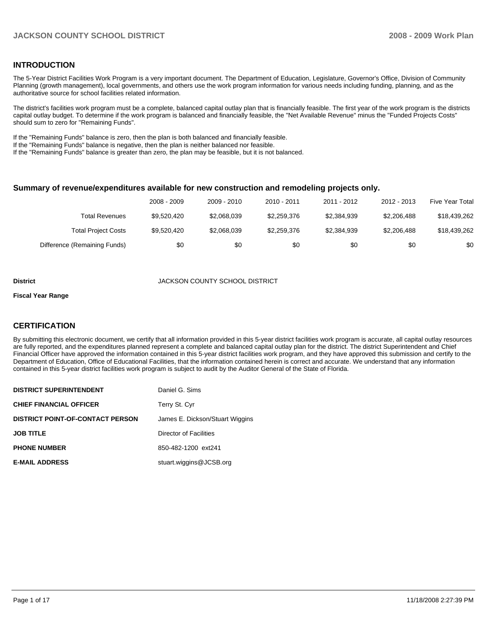## **INTRODUCTION**

The 5-Year District Facilities Work Program is a very important document. The Department of Education, Legislature, Governor's Office, Division of Community Planning (growth management), local governments, and others use the work program information for various needs including funding, planning, and as the authoritative source for school facilities related information.

The district's facilities work program must be a complete, balanced capital outlay plan that is financially feasible. The first year of the work program is the districts capital outlay budget. To determine if the work program is balanced and financially feasible, the "Net Available Revenue" minus the "Funded Projects Costs" should sum to zero for "Remaining Funds".

If the "Remaining Funds" balance is zero, then the plan is both balanced and financially feasible.

If the "Remaining Funds" balance is negative, then the plan is neither balanced nor feasible.

If the "Remaining Funds" balance is greater than zero, the plan may be feasible, but it is not balanced.

#### **Summary of revenue/expenditures available for new construction and remodeling projects only.**

|                              | 2008 - 2009 | 2009 - 2010 | 2010 - 2011 | 2011 - 2012 | 2012 - 2013 | <b>Five Year Total</b> |
|------------------------------|-------------|-------------|-------------|-------------|-------------|------------------------|
| Total Revenues               | \$9.520.420 | \$2,068,039 | \$2,259,376 | \$2,384,939 | \$2,206,488 | \$18,439,262           |
| <b>Total Project Costs</b>   | \$9,520,420 | \$2,068,039 | \$2,259,376 | \$2,384,939 | \$2,206,488 | \$18,439,262           |
| Difference (Remaining Funds) | \$0         | \$0         | \$0         | \$0         | \$0         | \$0                    |

#### **District COUNTY SCHOOL DISTRICT**

#### **Fiscal Year Range**

### **CERTIFICATION**

By submitting this electronic document, we certify that all information provided in this 5-year district facilities work program is accurate, all capital outlay resources are fully reported, and the expenditures planned represent a complete and balanced capital outlay plan for the district. The district Superintendent and Chief Financial Officer have approved the information contained in this 5-year district facilities work program, and they have approved this submission and certify to the Department of Education, Office of Educational Facilities, that the information contained herein is correct and accurate. We understand that any information contained in this 5-year district facilities work program is subject to audit by the Auditor General of the State of Florida.

| <b>DISTRICT SUPERINTENDENT</b>          | Daniel G. Sims                  |
|-----------------------------------------|---------------------------------|
| <b>CHIEF FINANCIAL OFFICER</b>          | Terry St. Cyr                   |
| <b>DISTRICT POINT-OF-CONTACT PERSON</b> | James E. Dickson/Stuart Wiggins |
| <b>JOB TITLE</b>                        | Director of Facilities          |
| <b>PHONE NUMBER</b>                     | 850-482-1200 ext241             |
| <b>E-MAIL ADDRESS</b>                   | stuart.wiggins@JCSB.org         |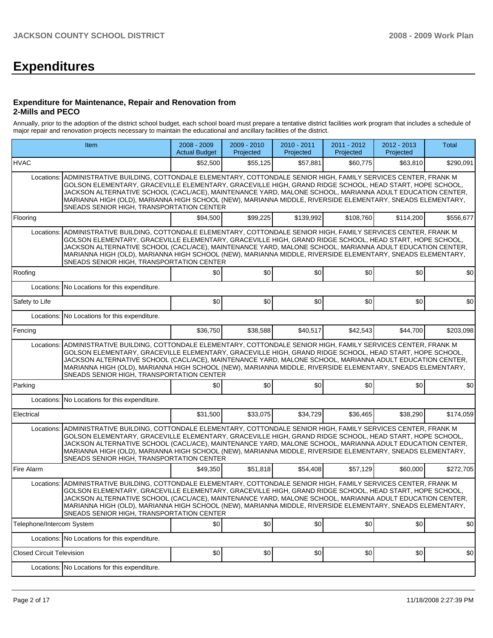# **Expenditures**

#### **Expenditure for Maintenance, Repair and Renovation from 2-Mills and PECO**

Annually, prior to the adoption of the district school budget, each school board must prepare a tentative district facilities work program that includes a schedule of major repair and renovation projects necessary to maintain the educational and ancillary facilities of the district.

|                                  | Item                                                                                                                                                                                                                                                                                                                                                                                                                                                                                      |          | 2009 - 2010<br>Projected | 2010 - 2011<br>Projected | 2011 - 2012<br>Projected | 2012 - 2013<br>Projected | <b>Total</b> |  |  |  |
|----------------------------------|-------------------------------------------------------------------------------------------------------------------------------------------------------------------------------------------------------------------------------------------------------------------------------------------------------------------------------------------------------------------------------------------------------------------------------------------------------------------------------------------|----------|--------------------------|--------------------------|--------------------------|--------------------------|--------------|--|--|--|
| <b>HVAC</b>                      |                                                                                                                                                                                                                                                                                                                                                                                                                                                                                           | \$52,500 | \$55,125                 | \$57,881                 | \$60,775                 | \$63,810                 | \$290,091    |  |  |  |
| Locations:                       | ADMINISTRATIVE BUILDING, COTTONDALE ELEMENTARY, COTTONDALE SENIOR HIGH, FAMILY SERVICES CENTER, FRANK M<br>GOLSON ELEMENTARY, GRACEVILLE ELEMENTARY, GRACEVILLE HIGH, GRAND RIDGE SCHOOL, HEAD START, HOPE SCHOOL,<br>JACKSON ALTERNATIVE SCHOOL (CACL/ACE), MAINTENANCE YARD, MALONE SCHOOL, MARIANNA ADULT EDUCATION CENTER,<br>MARIANNA HIGH (OLD), MARIANNA HIGH SCHOOL (NEW), MARIANNA MIDDLE, RIVERSIDE ELEMENTARY, SNEADS ELEMENTARY,<br>SNEADS SENIOR HIGH, TRANSPORTATION CENTER |          |                          |                          |                          |                          |              |  |  |  |
| Flooring                         |                                                                                                                                                                                                                                                                                                                                                                                                                                                                                           | \$94,500 | \$99,225                 | \$139,992                | \$108,760                | \$114,200                | \$556,677    |  |  |  |
| Locations:                       | ADMINISTRATIVE BUILDING, COTTONDALE ELEMENTARY, COTTONDALE SENIOR HIGH, FAMILY SERVICES CENTER, FRANK M<br>GOLSON ELEMENTARY, GRACEVILLE ELEMENTARY, GRACEVILLE HIGH, GRAND RIDGE SCHOOL, HEAD START, HOPE SCHOOL,<br>JACKSON ALTERNATIVE SCHOOL (CACL/ACE), MAINTENANCE YARD, MALONE SCHOOL, MARIANNA ADULT EDUCATION CENTER,<br>MARIANNA HIGH (OLD), MARIANNA HIGH SCHOOL (NEW), MARIANNA MIDDLE, RIVERSIDE ELEMENTARY, SNEADS ELEMENTARY,<br>SNEADS SENIOR HIGH, TRANSPORTATION CENTER |          |                          |                          |                          |                          |              |  |  |  |
| Roofing                          |                                                                                                                                                                                                                                                                                                                                                                                                                                                                                           | \$0      | \$0                      | \$0                      | \$0                      | \$0                      | \$0          |  |  |  |
| Locations:                       | No Locations for this expenditure.                                                                                                                                                                                                                                                                                                                                                                                                                                                        |          |                          |                          |                          |                          |              |  |  |  |
| Safety to Life                   |                                                                                                                                                                                                                                                                                                                                                                                                                                                                                           | \$0      | \$0                      | \$0                      | \$0                      | \$0                      | \$0          |  |  |  |
| Locations:                       | No Locations for this expenditure.                                                                                                                                                                                                                                                                                                                                                                                                                                                        |          |                          |                          |                          |                          |              |  |  |  |
| Fencing                          |                                                                                                                                                                                                                                                                                                                                                                                                                                                                                           | \$36,750 | \$38,588                 | \$40,517                 | \$42,543                 | \$44.700                 | \$203,098    |  |  |  |
| Locations:                       | ADMINISTRATIVE BUILDING, COTTONDALE ELEMENTARY, COTTONDALE SENIOR HIGH, FAMILY SERVICES CENTER, FRANK M<br>GOLSON ELEMENTARY, GRACEVILLE ELEMENTARY, GRACEVILLE HIGH, GRAND RIDGE SCHOOL, HEAD START, HOPE SCHOOL,<br>JACKSON ALTERNATIVE SCHOOL (CACL/ACE), MAINTENANCE YARD, MALONE SCHOOL, MARIANNA ADULT EDUCATION CENTER,<br>MARIANNA HIGH (OLD), MARIANNA HIGH SCHOOL (NEW), MARIANNA MIDDLE, RIVERSIDE ELEMENTARY, SNEADS ELEMENTARY,<br>SNEADS SENIOR HIGH, TRANSPORTATION CENTER |          |                          |                          |                          |                          |              |  |  |  |
| Parking                          |                                                                                                                                                                                                                                                                                                                                                                                                                                                                                           | \$0      | \$0                      | \$0                      | \$0                      | \$0                      | \$0          |  |  |  |
|                                  | Locations: No Locations for this expenditure.                                                                                                                                                                                                                                                                                                                                                                                                                                             |          |                          |                          |                          |                          |              |  |  |  |
| Electrical                       |                                                                                                                                                                                                                                                                                                                                                                                                                                                                                           | \$31,500 | \$33,075                 | \$34,729                 | \$36,465                 | \$38,290                 | \$174,059    |  |  |  |
| Locations:                       | ADMINISTRATIVE BUILDING, COTTONDALE ELEMENTARY, COTTONDALE SENIOR HIGH, FAMILY SERVICES CENTER, FRANK M<br>GOLSON ELEMENTARY, GRACEVILLE ELEMENTARY, GRACEVILLE HIGH, GRAND RIDGE SCHOOL, HEAD START, HOPE SCHOOL,<br>JACKSON ALTERNATIVE SCHOOL (CACL/ACE), MAINTENANCE YARD, MALONE SCHOOL, MARIANNA ADULT EDUCATION CENTER,<br>MARIANNA HIGH (OLD), MARIANNA HIGH SCHOOL (NEW), MARIANNA MIDDLE, RIVERSIDE ELEMENTARY, SNEADS ELEMENTARY,<br>SNEADS SENIOR HIGH, TRANSPORTATION CENTER |          |                          |                          |                          |                          |              |  |  |  |
| Fire Alarm                       |                                                                                                                                                                                                                                                                                                                                                                                                                                                                                           | \$49,350 | \$51,818                 | \$54,408                 | \$57,129                 | \$60,000                 | \$272,705    |  |  |  |
| Locations:                       | ADMINISTRATIVE BUILDING, COTTONDALE ELEMENTARY, COTTONDALE SENIOR HIGH, FAMILY SERVICES CENTER, FRANK M<br>GOLSON ELEMENTARY, GRACEVILLE ELEMENTARY, GRACEVILLE HIGH, GRAND RIDGE SCHOOL, HEAD START, HOPE SCHOOL,<br>JACKSON ALTERNATIVE SCHOOL (CACL/ACE), MAINTENANCE YARD, MALONE SCHOOL, MARIANNA ADULT EDUCATION CENTER,<br>MARIANNA HIGH (OLD), MARIANNA HIGH SCHOOL (NEW), MARIANNA MIDDLE, RIVERSIDE ELEMENTARY, SNEADS ELEMENTARY,<br>SNEADS SENIOR HIGH, TRANSPORTATION CENTER |          |                          |                          |                          |                          |              |  |  |  |
| Telephone/Intercom System        |                                                                                                                                                                                                                                                                                                                                                                                                                                                                                           | \$0      | \$0                      | \$0                      | \$0                      | \$0                      | \$0          |  |  |  |
|                                  | Locations: No Locations for this expenditure.                                                                                                                                                                                                                                                                                                                                                                                                                                             |          |                          |                          |                          |                          |              |  |  |  |
| <b>Closed Circuit Television</b> |                                                                                                                                                                                                                                                                                                                                                                                                                                                                                           | \$0      | \$0                      | \$0                      | \$0                      | \$0                      | \$0          |  |  |  |
|                                  | Locations: No Locations for this expenditure.                                                                                                                                                                                                                                                                                                                                                                                                                                             |          |                          |                          |                          |                          |              |  |  |  |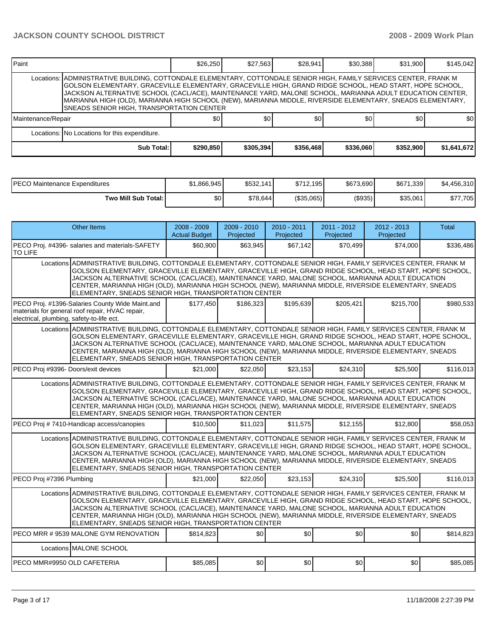| l Paint            |                                                                                                                                                                                                                                                                                                                                                                                                                                                                                                      | \$26,250  | \$27,563  | \$28,941         | \$30,388  | \$31.900  | \$145.042   |  |  |  |
|--------------------|------------------------------------------------------------------------------------------------------------------------------------------------------------------------------------------------------------------------------------------------------------------------------------------------------------------------------------------------------------------------------------------------------------------------------------------------------------------------------------------------------|-----------|-----------|------------------|-----------|-----------|-------------|--|--|--|
|                    | Locations: ADMINISTRATIVE BUILDING, COTTONDALE ELEMENTARY, COTTONDALE SENIOR HIGH, FAMILY SERVICES CENTER, FRANK M<br>GOLSON ELEMENTARY, GRACEVILLE ELEMENTARY, GRACEVILLE HIGH, GRAND RIDGE SCHOOL, HEAD START, HOPE SCHOOL,<br>JACKSON ALTERNATIVE SCHOOL (CACL/ACE), MAINTENANCE YARD, MALONE SCHOOL, MARIANNA ADULT EDUCATION CENTER,<br>MARIANNA HIGH (OLD), MARIANNA HIGH SCHOOL (NEW), MARIANNA MIDDLE, RIVERSIDE ELEMENTARY, SNEADS ELEMENTARY,<br>SNEADS SENIOR HIGH, TRANSPORTATION CENTER |           |           |                  |           |           |             |  |  |  |
| Maintenance/Repair |                                                                                                                                                                                                                                                                                                                                                                                                                                                                                                      | <b>SO</b> | \$0       | \$0 <sub>1</sub> | \$0       | \$0       | \$0         |  |  |  |
|                    | Locations: No Locations for this expenditure.                                                                                                                                                                                                                                                                                                                                                                                                                                                        |           |           |                  |           |           |             |  |  |  |
|                    | Sub Total:                                                                                                                                                                                                                                                                                                                                                                                                                                                                                           | \$290,850 | \$305,394 | \$356,468        | \$336,060 | \$352,900 | \$1,641,672 |  |  |  |

| PECO Maintenance Expenditures | \$1,866,945 | \$532,141 | \$712.195  | \$673,690 | \$671,339 | \$4,456,310 |
|-------------------------------|-------------|-----------|------------|-----------|-----------|-------------|
| Two Mill Sub Total: I         | \$0 I       | \$78,644  | (\$35,065) | (\$935)   | \$35,061  | \$77,705    |

| <b>Other Items</b>                                                                                                                                                                                                                                                                                                                                                                                                                                                                                  | 2008 - 2009<br><b>Actual Budget</b> | 2009 - 2010<br>Projected | 2010 - 2011<br>Projected | 2011 - 2012<br>Projected | 2012 - 2013<br>Projected | <b>Total</b> |  |  |  |
|-----------------------------------------------------------------------------------------------------------------------------------------------------------------------------------------------------------------------------------------------------------------------------------------------------------------------------------------------------------------------------------------------------------------------------------------------------------------------------------------------------|-------------------------------------|--------------------------|--------------------------|--------------------------|--------------------------|--------------|--|--|--|
| PECO Proj. #4396- salaries and materials-SAFETY<br><b>TO LIFE</b>                                                                                                                                                                                                                                                                                                                                                                                                                                   | \$60,900                            | \$63,945                 | \$67,142                 | \$70,499                 | \$74,000                 | \$336,486    |  |  |  |
| Locations ADMINISTRATIVE BUILDING, COTTONDALE ELEMENTARY, COTTONDALE SENIOR HIGH, FAMILY SERVICES CENTER, FRANK M<br>GOLSON ELEMENTARY, GRACEVILLE ELEMENTARY, GRACEVILLE HIGH, GRAND RIDGE SCHOOL, HEAD START, HOPE SCHOOL,<br>JACKSON ALTERNATIVE SCHOOL (CACL/ACE), MAINTENANCE YARD, MALONE SCHOOL, MARIANNA ADULT EDUCATION<br>CENTER, MARIANNA HIGH (OLD), MARIANNA HIGH SCHOOL (NEW), MARIANNA MIDDLE, RIVERSIDE ELEMENTARY, SNEADS<br>ELEMENTARY, SNEADS SENIOR HIGH, TRANSPORTATION CENTER |                                     |                          |                          |                          |                          |              |  |  |  |
| PECO Proj. #1396-Salaries County Wide Maint.and<br>materials for general roof repair, HVAC repair,<br>electrical, plumbing, safety-to-life ect.                                                                                                                                                                                                                                                                                                                                                     | \$177,450                           | \$186,323                | \$195,639                | \$205,421                | \$215,700                | \$980,533    |  |  |  |
| Locations ADMINISTRATIVE BUILDING, COTTONDALE ELEMENTARY, COTTONDALE SENIOR HIGH, FAMILY SERVICES CENTER, FRANK M<br>GOLSON ELEMENTARY. GRACEVILLE ELEMENTARY. GRACEVILLE HIGH. GRAND RIDGE SCHOOL. HEAD START. HOPE SCHOOL.<br>JACKSON ALTERNATIVE SCHOOL (CACL/ACE), MAINTENANCE YARD, MALONE SCHOOL, MARIANNA ADULT EDUCATION<br>CENTER, MARIANNA HIGH (OLD), MARIANNA HIGH SCHOOL (NEW), MARIANNA MIDDLE, RIVERSIDE ELEMENTARY, SNEADS<br>ELEMENTARY, SNEADS SENIOR HIGH, TRANSPORTATION CENTER |                                     |                          |                          |                          |                          |              |  |  |  |
| PECO Proj #9396- Doors/exit devices                                                                                                                                                                                                                                                                                                                                                                                                                                                                 | \$21,000                            | \$22,050                 | \$23,153                 | \$24,310                 | \$25,500                 | \$116,013    |  |  |  |
| Locations ADMINISTRATIVE BUILDING, COTTONDALE ELEMENTARY, COTTONDALE SENIOR HIGH, FAMILY SERVICES CENTER, FRANK M<br>GOLSON ELEMENTARY, GRACEVILLE ELEMENTARY, GRACEVILLE HIGH, GRAND RIDGE SCHOOL, HEAD START, HOPE SCHOOL,<br>JACKSON ALTERNATIVE SCHOOL (CACL/ACE), MAINTENANCE YARD, MALONE SCHOOL, MARIANNA ADULT EDUCATION<br>CENTER, MARIANNA HIGH (OLD), MARIANNA HIGH SCHOOL (NEW), MARIANNA MIDDLE, RIVERSIDE ELEMENTARY, SNEADS<br>ELEMENTARY, SNEADS SENIOR HIGH, TRANSPORTATION CENTER |                                     |                          |                          |                          |                          |              |  |  |  |
| PECO Proj # 7410-Handicap access/canopies                                                                                                                                                                                                                                                                                                                                                                                                                                                           | \$10,500                            | \$11,023                 | \$11,575                 | \$12,155                 | \$12,800                 | \$58,053     |  |  |  |
| Locations ADMINISTRATIVE BUILDING, COTTONDALE ELEMENTARY, COTTONDALE SENIOR HIGH, FAMILY SERVICES CENTER, FRANK M<br>GOLSON ELEMENTARY, GRACEVILLE ELEMENTARY, GRACEVILLE HIGH, GRAND RIDGE SCHOOL, HEAD START, HOPE SCHOOL,<br>JACKSON ALTERNATIVE SCHOOL (CACL/ACE). MAINTENANCE YARD. MALONE SCHOOL. MARIANNA ADULT EDUCATION<br>CENTER, MARIANNA HIGH (OLD), MARIANNA HIGH SCHOOL (NEW), MARIANNA MIDDLE, RIVERSIDE ELEMENTARY, SNEADS<br>ELEMENTARY, SNEADS SENIOR HIGH, TRANSPORTATION CENTER |                                     |                          |                          |                          |                          |              |  |  |  |
| PECO Proj #7396 Plumbing                                                                                                                                                                                                                                                                                                                                                                                                                                                                            | \$21.000                            | \$22,050                 | \$23,153                 | \$24,310                 | \$25,500                 | \$116,013    |  |  |  |
| Locations ADMINISTRATIVE BUILDING, COTTONDALE ELEMENTARY, COTTONDALE SENIOR HIGH, FAMILY SERVICES CENTER, FRANK M<br>GOLSON ELEMENTARY, GRACEVILLE ELEMENTARY, GRACEVILLE HIGH, GRAND RIDGE SCHOOL, HEAD START, HOPE SCHOOL,<br>JACKSON ALTERNATIVE SCHOOL (CACL/ACE), MAINTENANCE YARD, MALONE SCHOOL, MARIANNA ADULT EDUCATION<br>CENTER, MARIANNA HIGH (OLD), MARIANNA HIGH SCHOOL (NEW), MARIANNA MIDDLE, RIVERSIDE ELEMENTARY, SNEADS<br>ELEMENTARY, SNEADS SENIOR HIGH, TRANSPORTATION CENTER |                                     |                          |                          |                          |                          |              |  |  |  |
| PECO MRR # 9539 MALONE GYM RENOVATION                                                                                                                                                                                                                                                                                                                                                                                                                                                               | \$814,823                           | \$0                      | \$0                      | \$0                      | \$0                      | \$814,823    |  |  |  |
| Locations MALONE SCHOOL                                                                                                                                                                                                                                                                                                                                                                                                                                                                             |                                     |                          |                          |                          |                          |              |  |  |  |
| PECO MMR#9950 OLD CAFETERIA                                                                                                                                                                                                                                                                                                                                                                                                                                                                         | \$85.085                            | \$0                      | \$0                      | \$0                      | \$0                      | \$85,085     |  |  |  |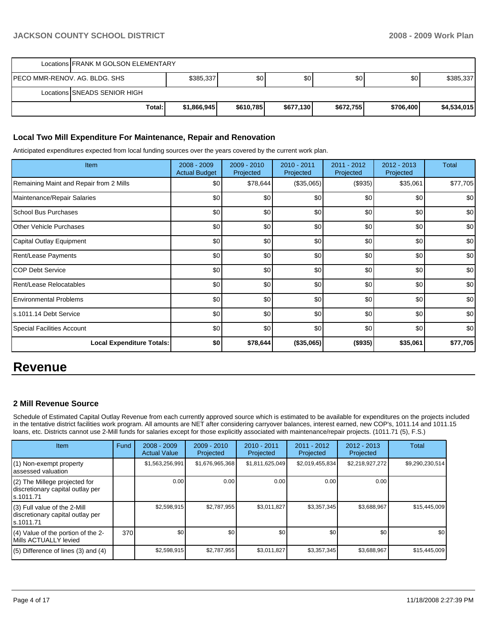|                                | Locations FRANK M GOLSON ELEMENTARY |             |           |           |           |           |             |  |  |
|--------------------------------|-------------------------------------|-------------|-----------|-----------|-----------|-----------|-------------|--|--|
| IPECO MMR-RENOV. AG. BLDG. SHS |                                     | \$385,337   | \$٥١      | \$0       | \$0       | \$0       | \$385,337   |  |  |
|                                | Locations SNEADS SENIOR HIGH        |             |           |           |           |           |             |  |  |
|                                | Total:                              | \$1,866,945 | \$610,785 | \$677,130 | \$672,755 | \$706,400 | \$4,534,015 |  |  |

## **Local Two Mill Expenditure For Maintenance, Repair and Renovation**

Anticipated expenditures expected from local funding sources over the years covered by the current work plan.

| Item                                    | 2008 - 2009<br><b>Actual Budget</b> | $2009 - 2010$<br>Projected | 2010 - 2011<br>Projected | 2011 - 2012<br>Projected | 2012 - 2013<br>Projected | Total    |
|-----------------------------------------|-------------------------------------|----------------------------|--------------------------|--------------------------|--------------------------|----------|
| Remaining Maint and Repair from 2 Mills | \$0                                 | \$78,644                   | (\$35,065)               | (\$935)                  | \$35,061                 | \$77,705 |
| Maintenance/Repair Salaries             | \$0                                 | \$0                        | \$0                      | \$0                      | \$0                      | \$0      |
| <b>School Bus Purchases</b>             | \$0                                 | \$0                        | \$0                      | \$0                      | \$0                      | \$0      |
| <b>Other Vehicle Purchases</b>          | \$0                                 | \$0                        | \$0                      | \$0                      | \$0                      | \$0      |
| Capital Outlay Equipment                | \$0                                 | \$0                        | \$0                      | \$0                      | \$0                      | \$0      |
| <b>Rent/Lease Payments</b>              | \$0                                 | \$0                        | \$0                      | \$0                      | \$0                      | \$0      |
| ICOP Debt Service                       | \$0                                 | \$0                        | \$0                      | \$0                      | \$0                      | \$0      |
| Rent/Lease Relocatables                 | \$0                                 | \$0                        | \$0                      | \$0                      | \$0                      | \$0      |
| <b>Environmental Problems</b>           | \$0                                 | \$0                        | \$0                      | \$0                      | \$0                      | \$0      |
| s.1011.14 Debt Service                  | \$0                                 | \$0                        | \$0                      | \$0                      | \$0                      | \$0      |
| <b>Special Facilities Account</b>       | \$0                                 | \$0                        | \$0                      | \$0                      | \$0                      | \$0      |
| <b>Local Expenditure Totals:</b>        | \$0                                 | \$78,644                   | (\$35,065)               | (\$935)                  | \$35,061                 | \$77,705 |

## **Revenue**

## **2 Mill Revenue Source**

Schedule of Estimated Capital Outlay Revenue from each currently approved source which is estimated to be available for expenditures on the projects included in the tentative district facilities work program. All amounts are NET after considering carryover balances, interest earned, new COP's, 1011.14 and 1011.15 loans, etc. Districts cannot use 2-Mill funds for salaries except for those explicitly associated with maintenance/repair projects. (1011.71 (5), F.S.)

| <b>Item</b>                                                                      | Fund | $2008 - 2009$<br><b>Actual Value</b> | $2009 - 2010$<br>Projected | $2010 - 2011$<br>Projected | $2011 - 2012$<br>Projected | $2012 - 2013$<br>Projected | <b>Total</b>    |
|----------------------------------------------------------------------------------|------|--------------------------------------|----------------------------|----------------------------|----------------------------|----------------------------|-----------------|
| (1) Non-exempt property<br>lassessed valuation                                   |      | \$1,563,256,991                      | \$1,676,965,368            | \$1,811,625,049            | \$2,019,455,834            | \$2,218,927,272            | \$9,290,230,514 |
| (2) The Millege projected for<br>discretionary capital outlay per<br>ls.1011.71  |      | 0.00                                 | 0.00                       | 0.00                       | 0.00                       | 0.00                       |                 |
| $(3)$ Full value of the 2-Mill<br>discretionary capital outlay per<br>ls.1011.71 |      | \$2,598,915                          | \$2,787,955                | \$3,011,827                | \$3,357,345                | \$3,688,967                | \$15,445,009    |
| $(4)$ Value of the portion of the 2-<br>Mills ACTUALLY levied                    | 370  | \$0                                  | \$0                        | \$0                        | \$0                        | \$0                        | \$0             |
| $(5)$ Difference of lines $(3)$ and $(4)$                                        |      | \$2,598,915                          | \$2,787,955                | \$3,011,827                | \$3,357,345                | \$3,688,967                | \$15,445,009    |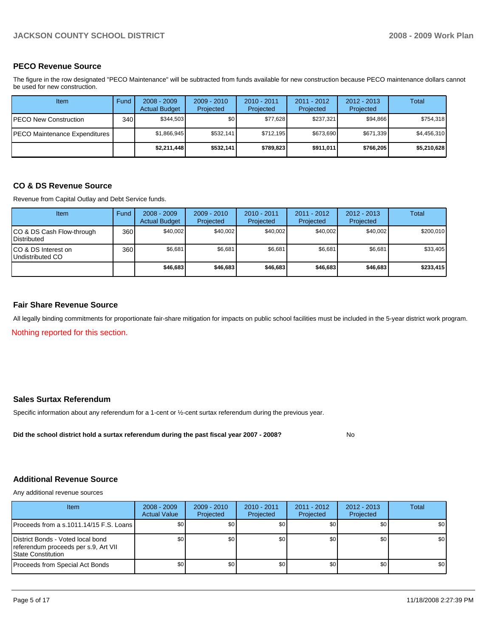## **PECO Revenue Source**

The figure in the row designated "PECO Maintenance" will be subtracted from funds available for new construction because PECO maintenance dollars cannot be used for new construction.

| Item                          | Fund  | $2008 - 2009$<br><b>Actual Budget</b> | $2009 - 2010$<br>Projected | $2010 - 2011$<br>Projected | 2011 - 2012<br>Projected | $2012 - 2013$<br>Projected | Total       |
|-------------------------------|-------|---------------------------------------|----------------------------|----------------------------|--------------------------|----------------------------|-------------|
| PECO New Construction         | 340 l | \$344.503                             | \$0                        | \$77.628                   | \$237.321                | \$94.866                   | \$754,318   |
| PECO Maintenance Expenditures |       | \$1.866.945                           | \$532.141                  | \$712.195                  | \$673.690                | \$671.339                  | \$4,456,310 |
|                               |       | \$2,211,448                           | \$532,141                  | \$789.823                  | \$911.011                | \$766,205                  | \$5,210,628 |

## **CO & DS Revenue Source**

Revenue from Capital Outlay and Debt Service funds.

| <b>Item</b>                                     | Fund | $2008 - 2009$<br><b>Actual Budget</b> | $2009 - 2010$<br>Projected | $2010 - 2011$<br>Projected | 2011 - 2012<br>Projected | $2012 - 2013$<br>Projected | Total     |
|-------------------------------------------------|------|---------------------------------------|----------------------------|----------------------------|--------------------------|----------------------------|-----------|
| CO & DS Cash Flow-through<br><b>Distributed</b> | 360  | \$40,002                              | \$40.002                   | \$40.002                   | \$40.002                 | \$40,002                   | \$200,010 |
| CO & DS Interest on<br>Undistributed CO         | 360  | \$6,681                               | \$6.681                    | \$6,681                    | \$6.681                  | \$6,681                    | \$33,405  |
|                                                 |      | \$46,683                              | \$46,683                   | \$46,683                   | \$46,683                 | \$46,683                   | \$233,415 |

## **Fair Share Revenue Source**

All legally binding commitments for proportionate fair-share mitigation for impacts on public school facilities must be included in the 5-year district work program.

Nothing reported for this section.

## **Sales Surtax Referendum**

Specific information about any referendum for a 1-cent or ½-cent surtax referendum during the previous year.

Did the school district hold a surtax referendum during the past fiscal year 2007 - 2008? No

## **Additional Revenue Source**

Any additional revenue sources

| Item                                                                                                   | $2008 - 2009$<br><b>Actual Value</b> | $2009 - 2010$<br>Projected | $2010 - 2011$<br>Projected | $2011 - 2012$<br>Projected | $2012 - 2013$<br>Projected | Total |
|--------------------------------------------------------------------------------------------------------|--------------------------------------|----------------------------|----------------------------|----------------------------|----------------------------|-------|
| Proceeds from a s.1011.14/15 F.S. Loans                                                                | \$0                                  | \$0 <sub>1</sub>           | \$0                        | \$0                        | \$0                        | \$0   |
| District Bonds - Voted local bond<br>referendum proceeds per s.9, Art VII<br><b>State Constitution</b> | \$0                                  | \$0                        | \$0                        | \$0                        | \$0                        | \$0   |
| Proceeds from Special Act Bonds                                                                        | \$0                                  | \$0                        | \$0                        | \$0                        | \$0                        | \$0   |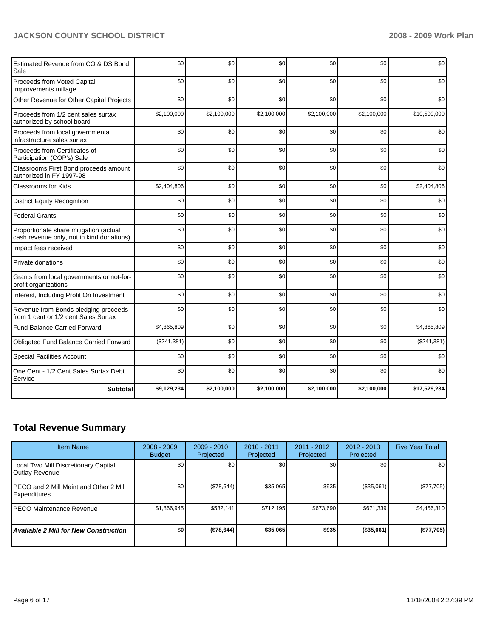| Estimated Revenue from CO & DS Bond<br>Sale                                         | \$0         | \$0         | \$0         | \$0         | \$0         | \$0          |
|-------------------------------------------------------------------------------------|-------------|-------------|-------------|-------------|-------------|--------------|
| Proceeds from Voted Capital<br>Improvements millage                                 | \$0         | \$0         | \$0         | \$0         | \$0         | \$0          |
| Other Revenue for Other Capital Projects                                            | \$0         | \$0         | \$0         | \$0         | \$0         | \$0          |
| Proceeds from 1/2 cent sales surtax<br>authorized by school board                   | \$2,100,000 | \$2,100,000 | \$2,100,000 | \$2,100,000 | \$2,100,000 | \$10,500,000 |
| Proceeds from local governmental<br>infrastructure sales surtax                     | \$0         | \$0         | \$0         | \$0         | \$0         | \$0          |
| Proceeds from Certificates of<br>Participation (COP's) Sale                         | \$0         | \$0         | \$0         | \$0         | \$0         | \$0          |
| Classrooms First Bond proceeds amount<br>authorized in FY 1997-98                   | \$0         | \$0         | \$0         | \$0         | \$0         | \$0          |
| Classrooms for Kids                                                                 | \$2,404,806 | \$0         | \$0         | \$0         | \$0         | \$2,404,806  |
| <b>District Equity Recognition</b>                                                  | \$0         | \$0         | \$0         | \$0         | \$0         | \$0          |
| <b>Federal Grants</b>                                                               | \$0         | \$0         | \$0         | \$0         | \$0         | \$0          |
| Proportionate share mitigation (actual<br>cash revenue only, not in kind donations) | \$0         | \$0         | \$0         | \$0         | \$0         | \$0          |
| Impact fees received                                                                | \$0         | \$0         | \$0         | \$0         | \$0         | \$0          |
| Private donations                                                                   | \$0         | \$0         | \$0         | \$0         | \$0         | \$0          |
| Grants from local governments or not-for-<br>profit organizations                   | \$0         | \$0         | \$0         | \$0         | \$0         | \$0          |
| Interest, Including Profit On Investment                                            | \$0         | \$0         | \$0         | \$0         | \$0         | \$0          |
| Revenue from Bonds pledging proceeds<br>from 1 cent or 1/2 cent Sales Surtax        | \$0         | \$0         | \$0         | \$0         | \$0         | \$0          |
| Fund Balance Carried Forward                                                        | \$4,865,809 | \$0         | \$0         | \$0         | \$0         | \$4,865,809  |
| Obligated Fund Balance Carried Forward                                              | (\$241,381) | \$0         | \$0         | \$0         | \$0         | (\$241,381)  |
| <b>Special Facilities Account</b>                                                   | \$0         | \$0         | \$0         | \$0         | \$0         | \$0          |
| One Cent - 1/2 Cent Sales Surtax Debt<br>Service                                    | \$0         | \$0         | \$0         | \$0         | \$0         | \$0          |
| <b>Subtotal</b>                                                                     | \$9,129,234 | \$2,100,000 | \$2,100,000 | \$2,100,000 | \$2,100,000 | \$17,529,234 |

## **Total Revenue Summary**

| <b>Item Name</b>                                               | $2008 - 2009$<br><b>Budget</b> | $2009 - 2010$<br>Projected | $2010 - 2011$<br>Projected | 2011 - 2012<br>Projected | $2012 - 2013$<br>Projected | <b>Five Year Total</b> |
|----------------------------------------------------------------|--------------------------------|----------------------------|----------------------------|--------------------------|----------------------------|------------------------|
| Local Two Mill Discretionary Capital<br>Outlay Revenue         | \$0 <sub>1</sub>               | \$0 <sub>1</sub>           | \$0                        | \$0                      | \$0                        | \$0 <sub>1</sub>       |
| IPECO and 2 Mill Maint and Other 2 Mill<br><b>Expenditures</b> | \$0 <sub>1</sub>               | (\$78,644)                 | \$35,065                   | \$935                    | (\$35,061)                 | $(\$77,705)$           |
| IPECO Maintenance Revenue                                      | \$1,866,945                    | \$532.141                  | \$712.195                  | \$673.690                | \$671.339                  | \$4,456,310            |
| <b>Available 2 Mill for New Construction</b>                   | \$O                            | (\$78,644)                 | \$35,065                   | \$935                    | (\$35,061)                 | (\$77,705)             |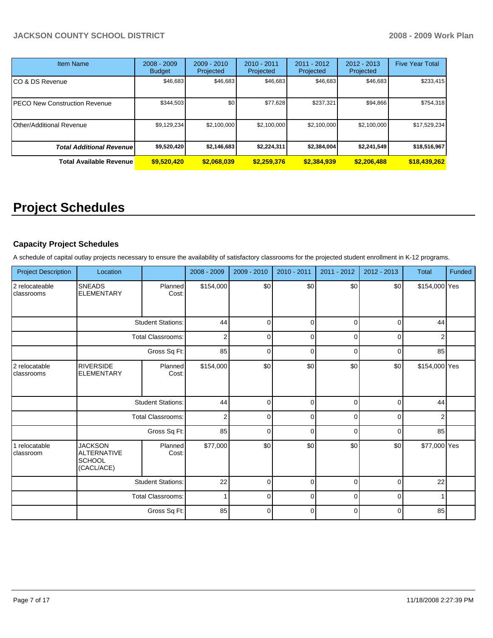| <b>Item Name</b>                 | $2008 - 2009$<br><b>Budget</b> | $2009 - 2010$<br>Projected | $2010 - 2011$<br>Projected | $2011 - 2012$<br>Projected | $2012 - 2013$<br>Projected | <b>Five Year Total</b> |
|----------------------------------|--------------------------------|----------------------------|----------------------------|----------------------------|----------------------------|------------------------|
| CO & DS Revenue                  | \$46,683                       | \$46,683                   | \$46,683                   | \$46,683                   | \$46,683                   | \$233,415              |
| PECO New Construction Revenue    | \$344,503                      | \$0                        | \$77,628                   | \$237,321                  | \$94.866                   | \$754,318              |
| Other/Additional Revenue         | \$9,129,234                    | \$2,100,000                | \$2,100,000                | \$2,100,000                | \$2,100,000                | \$17,529,234           |
| <b>Total Additional Revenuel</b> | \$9,520,420                    | \$2,146,683                | \$2,224,311                | \$2,384,004                | \$2,241,549                | \$18,516,967           |
| <b>Total Available Revenue</b>   | \$9,520,420                    | \$2.068.039                | \$2,259,376                | \$2,384,939                | \$2,206,488                | \$18,439,262           |

# **Project Schedules**

## **Capacity Project Schedules**

A schedule of capital outlay projects necessary to ensure the availability of satisfactory classrooms for the projected student enrollment in K-12 programs.

| <b>Project Description</b>   | Location                                                            |                          | 2008 - 2009    | 2009 - 2010 | 2010 - 2011 | 2011 - 2012 | 2012 - 2013 | <b>Total</b>   | Funded |
|------------------------------|---------------------------------------------------------------------|--------------------------|----------------|-------------|-------------|-------------|-------------|----------------|--------|
| 2 relocateable<br>classrooms | <b>SNEADS</b><br><b>ELEMENTARY</b>                                  | Planned<br>Cost:         | \$154,000      | \$0         | \$0         | \$0         | \$0         | \$154,000 Yes  |        |
|                              |                                                                     | <b>Student Stations:</b> | 44             | $\Omega$    | $\mathbf 0$ | 0           | $\Omega$    | 44             |        |
|                              |                                                                     | <b>Total Classrooms:</b> | $\overline{2}$ | $\Omega$    | $\mathbf 0$ | 0           | $\Omega$    | $\overline{2}$ |        |
|                              |                                                                     | Gross Sq Ft:             | 85             | $\Omega$    | $\mathbf 0$ | 0           | $\Omega$    | 85             |        |
| 2 relocatable<br>classrooms  | <b>RIVERSIDE</b><br><b>ELEMENTARY</b>                               | Planned<br>Cost:         | \$154,000      | \$0         | \$0         | \$0         | \$0         | \$154,000 Yes  |        |
|                              |                                                                     | <b>Student Stations:</b> | 44             | $\mathbf 0$ | $\mathbf 0$ | $\Omega$    | $\Omega$    | 44             |        |
|                              |                                                                     | <b>Total Classrooms:</b> | $\overline{2}$ | $\Omega$    | $\mathbf 0$ | $\Omega$    | $\Omega$    | 2              |        |
|                              |                                                                     | Gross Sq Ft:             | 85             | $\Omega$    | $\mathbf 0$ | 0           | $\Omega$    | 85             |        |
| 1 relocatable<br>classroom   | <b>JACKSON</b><br><b>ALTERNATIVE</b><br><b>SCHOOL</b><br>(CACL/ACE) | Planned<br>Cost:         | \$77,000       | \$0         | \$0         | \$0         | \$0         | \$77,000 Yes   |        |
|                              |                                                                     | <b>Student Stations:</b> | 22             | $\mathbf 0$ | $\mathbf 0$ | $\mathbf 0$ | $\mathbf 0$ | 22             |        |
|                              |                                                                     | <b>Total Classrooms:</b> | 1              | $\mathbf 0$ | $\mathbf 0$ | $\Omega$    | $\Omega$    |                |        |
|                              |                                                                     | Gross Sq Ft:             | 85             | 0           | $\mathbf 0$ | $\Omega$    | $\Omega$    | 85             |        |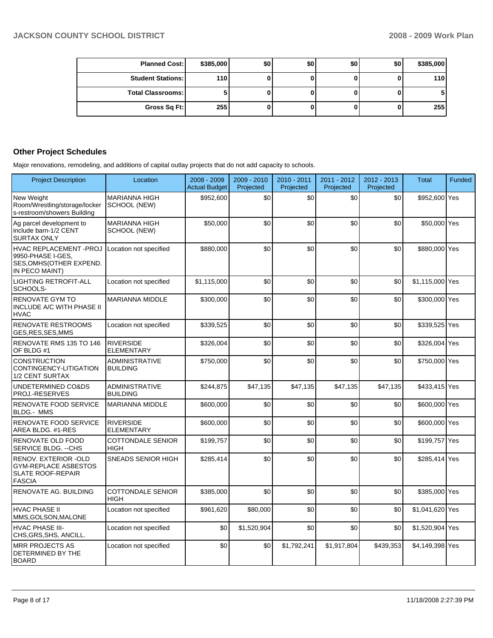| <b>Planned Cost:</b>     | \$385,000  | \$0 | \$0 | \$0 | \$0 | \$385,000 |
|--------------------------|------------|-----|-----|-----|-----|-----------|
| <b>Student Stations:</b> | 110        |     |     |     |     | 110       |
| <b>Total Classrooms:</b> |            |     |     |     |     |           |
| Gross Sq Ft:             | <b>255</b> |     |     |     |     | 255       |

## **Other Project Schedules**

Major renovations, remodeling, and additions of capital outlay projects that do not add capacity to schools.

| <b>Project Description</b>                                                                       | Location                                 | 2008 - 2009<br><b>Actual Budget</b> | $2009 - 2010$<br>Projected | 2010 - 2011<br>Projected | 2011 - 2012<br>Projected | $2012 - 2013$<br>Projected | <b>Total</b>    | <b>Funded</b> |
|--------------------------------------------------------------------------------------------------|------------------------------------------|-------------------------------------|----------------------------|--------------------------|--------------------------|----------------------------|-----------------|---------------|
| New Weight<br>Room/Wrestling/storage/locker<br>s-restroom/showers Building                       | <b>MARIANNA HIGH</b><br>SCHOOL (NEW)     | \$952,600                           | \$0                        | \$0                      | \$0                      | \$0                        | \$952,600 Yes   |               |
| Ag parcel development to<br>include barn-1/2 CENT<br><b>SURTAX ONLY</b>                          | <b>MARIANNA HIGH</b><br>SCHOOL (NEW)     | \$50,000                            | \$0                        | \$0                      | \$0                      | \$0                        | \$50,000 Yes    |               |
| HVAC REPLACEMENT - PROJ<br>9950-PHASE I-GES,<br><b>SES,OMHS(OTHER EXPEND.</b><br>IN PECO MAINT)  | Location not specified                   | \$880,000                           | \$0                        | \$0                      | \$0                      | \$0                        | \$880,000 Yes   |               |
| <b>LIGHTING RETROFIT-ALL</b><br>SCHOOLS-                                                         | Location not specified                   | \$1,115,000                         | \$0                        | \$0                      | \$0                      | \$0                        | \$1,115,000 Yes |               |
| <b>RENOVATE GYM TO</b><br>INCLUDE A/C WITH PHASE II<br><b>HVAC</b>                               | <b>MARIANNA MIDDLE</b>                   | \$300,000                           | \$0                        | \$0                      | \$0                      | \$0                        | \$300,000 Yes   |               |
| <b>RENOVATE RESTROOMS</b><br>GES, RES, SES, MMS                                                  | Location not specified                   | \$339,525                           | \$0                        | \$0                      | \$0                      | \$0                        | \$339,525 Yes   |               |
| RENOVATE RMS 135 TO 146<br>OF BLDG #1                                                            | <b>RIVERSIDE</b><br><b>ELEMENTARY</b>    | \$326,004                           | \$0                        | \$0                      | \$0                      | \$0                        | \$326,004 Yes   |               |
| <b>CONSTRUCTION</b><br>CONTINGENCY-LITIGATION<br>1/2 CENT SURTAX                                 | <b>ADMINISTRATIVE</b><br><b>BUILDING</b> | \$750,000                           | \$0                        | \$0                      | \$0                      | \$0                        | \$750,000 Yes   |               |
| UNDETERMINED CO&DS<br>PROJ.-RESERVES                                                             | <b>ADMINISTRATIVE</b><br><b>BUILDING</b> | \$244,875                           | \$47,135                   | \$47,135                 | \$47,135                 | \$47,135                   | \$433,415 Yes   |               |
| <b>RENOVATE FOOD SERVICE</b><br><b>BLDG.- MMS</b>                                                | <b>MARIANNA MIDDLE</b>                   | \$600,000                           | \$0                        | \$0                      | \$0                      | \$0                        | \$600,000 Yes   |               |
| RENOVATE FOOD SERVICE<br>AREA BLDG. #1-RES                                                       | <b>RIVERSIDE</b><br><b>ELEMENTARY</b>    | \$600,000                           | \$0                        | \$0                      | \$0                      | \$0                        | \$600,000 Yes   |               |
| RENOVATE OLD FOOD<br>SERVICE BLDG. -- CHS                                                        | <b>COTTONDALE SENIOR</b><br><b>HIGH</b>  | \$199,757                           | \$0                        | \$0                      | \$0                      | \$0                        | \$199,757 Yes   |               |
| RENOV. EXTERIOR -OLD<br><b>GYM-REPLACE ASBESTOS</b><br><b>SLATE ROOF-REPAIR</b><br><b>FASCIA</b> | <b>SNEADS SENIOR HIGH</b>                | \$285.414                           | \$0                        | \$0                      | \$0                      | \$0                        | \$285,414 Yes   |               |
| <b>RENOVATE AG. BUILDING</b>                                                                     | <b>COTTONDALE SENIOR</b><br><b>HIGH</b>  | \$385,000                           | \$0                        | \$0                      | \$0                      | \$0                        | \$385,000 Yes   |               |
| <b>HVAC PHASE II</b><br>MMS, GOLSON, MALONE                                                      | Location not specified                   | \$961,620                           | \$80,000                   | \$0                      | \$0                      | \$0                        | \$1,041,620 Yes |               |
| <b>HVAC PHASE III-</b><br>CHS, GRS, SHS, ANCILL.                                                 | Location not specified                   | \$0                                 | \$1,520,904                | \$0                      | \$0                      | \$0                        | \$1,520,904 Yes |               |
| <b>MRR PROJECTS AS</b><br>DETERMINED BY THE<br><b>BOARD</b>                                      | Location not specified                   | \$0                                 | \$0                        | \$1,792,241              | \$1,917,804              | \$439,353                  | \$4,149,398 Yes |               |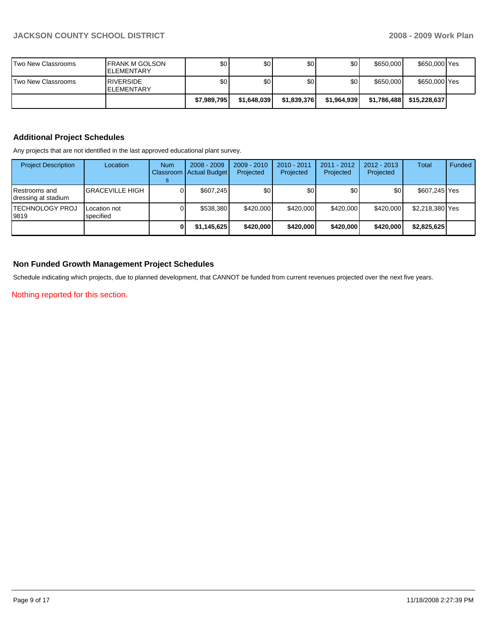| Two New Classrooms | <b>IFRANK M GOLSON</b><br><b>IELEMENTARY</b> | \$0 <sub>1</sub> | \$0              | \$0         | \$0 <sub>1</sub> | \$650,000   | \$650,000 Yes |  |
|--------------------|----------------------------------------------|------------------|------------------|-------------|------------------|-------------|---------------|--|
| Two New Classrooms | <b>RIVERSIDE</b><br><b>IELEMENTARY</b>       | \$0 <sub>1</sub> | \$0 <sub>l</sub> | \$0         | ا 30             | \$650,000   | \$650,000 Yes |  |
|                    |                                              | \$7,989,795      | \$1,648,039      | \$1,839,376 | \$1,964,939      | \$1,786,488 | \$15,228,637  |  |

## **Additional Project Schedules**

Any projects that are not identified in the last approved educational plant survey.

| <b>Project Description</b>           | Location                  | <b>Num</b> | $2008 - 2009$<br>Classroom   Actual Budget | $2009 - 2010$<br>Projected | 2010 - 2011<br>Projected | $2011 - 2012$<br>Projected | 2012 - 2013<br>Projected | Total           | Funded |
|--------------------------------------|---------------------------|------------|--------------------------------------------|----------------------------|--------------------------|----------------------------|--------------------------|-----------------|--------|
| Restrooms and<br>dressing at stadium | <b>GRACEVILLE HIGH</b>    | ٥ı         | \$607,245                                  | \$0                        | \$0                      | \$0                        | \$0                      | \$607,245 Yes   |        |
| <b>ITECHNOLOGY PROJ</b><br>19819     | Location not<br>specified | ٥ı         | \$538,380                                  | \$420,000                  | \$420,000                | \$420,000                  | \$420,000                | \$2,218,380 Yes |        |
|                                      |                           |            | \$1,145,625                                | \$420,000                  | \$420,000                | \$420,000                  | \$420,000                | \$2,825,625     |        |

## **Non Funded Growth Management Project Schedules**

Schedule indicating which projects, due to planned development, that CANNOT be funded from current revenues projected over the next five years.

Nothing reported for this section.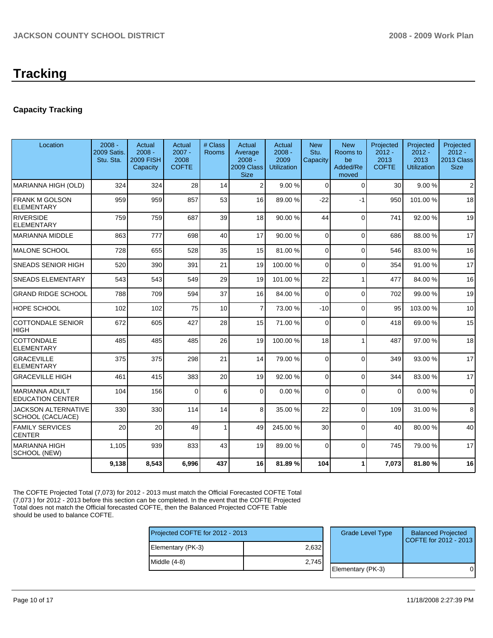## **Capacity Tracking**

| Location                                         | $2008 -$<br>2009 Satis.<br>Stu. Sta. | Actual<br>$2008 -$<br><b>2009 FISH</b><br>Capacity | Actual<br>$2007 -$<br>2008<br><b>COFTE</b> | # Class<br>Rooms | Actual<br>Average<br>$2008 -$<br>2009 Class<br><b>Size</b> | Actual<br>$2008 -$<br>2009<br><b>Utilization</b> | <b>New</b><br>Stu.<br>Capacity | <b>New</b><br>Rooms to<br>be<br>Added/Re<br>moved | Projected<br>$2012 -$<br>2013<br><b>COFTE</b> | Projected<br>$2012 -$<br>2013<br><b>Utilization</b> | Projected<br>$2012 -$<br>2013 Class<br><b>Size</b> |
|--------------------------------------------------|--------------------------------------|----------------------------------------------------|--------------------------------------------|------------------|------------------------------------------------------------|--------------------------------------------------|--------------------------------|---------------------------------------------------|-----------------------------------------------|-----------------------------------------------------|----------------------------------------------------|
| MARIANNA HIGH (OLD)                              | 324                                  | 324                                                | 28                                         | 14               | $\overline{2}$                                             | 9.00%                                            | $\Omega$                       | $\Omega$                                          | 30                                            | 9.00%                                               | $\overline{2}$                                     |
| <b>FRANK M GOLSON</b><br><b>ELEMENTARY</b>       | 959                                  | 959                                                | 857                                        | 53               | 16                                                         | 89.00 %                                          | $-22$                          | $-1$                                              | 950                                           | 101.00%                                             | 18                                                 |
| <b>RIVERSIDE</b><br>ELEMENTARY                   | 759                                  | 759                                                | 687                                        | 39               | 18                                                         | 90.00 %                                          | 44                             | $\Omega$                                          | 741                                           | 92.00 %                                             | 19                                                 |
| <b>MARIANNA MIDDLE</b>                           | 863                                  | 777                                                | 698                                        | 40               | 17                                                         | 90.00 %                                          | $\Omega$                       | $\Omega$                                          | 686                                           | 88.00 %                                             | 17                                                 |
| <b>MALONE SCHOOL</b>                             | 728                                  | 655                                                | 528                                        | 35               | 15                                                         | 81.00%                                           | $\Omega$                       | $\Omega$                                          | 546                                           | 83.00 %                                             | 16                                                 |
| <b>SNEADS SENIOR HIGH</b>                        | 520                                  | 390                                                | 391                                        | 21               | 19                                                         | 100.00 %                                         | $\Omega$                       | $\mathbf{0}$                                      | 354                                           | 91.00 %                                             | 17                                                 |
| <b>SNEADS ELEMENTARY</b>                         | 543                                  | 543                                                | 549                                        | 29               | 19                                                         | 101.00%                                          | 22                             | $\mathbf{1}$                                      | 477                                           | 84.00 %                                             | 16                                                 |
| <b>GRAND RIDGE SCHOOL</b>                        | 788                                  | 709                                                | 594                                        | 37               | 16 <sup>1</sup>                                            | 84.00 %                                          | $\Omega$                       | $\Omega$                                          | 702                                           | 99.00 %                                             | 19                                                 |
| <b>HOPE SCHOOL</b>                               | 102                                  | 102                                                | 75                                         | 10               | $\overline{7}$                                             | 73.00 %                                          | $-10$                          | $\mathbf 0$                                       | 95                                            | 103.00 %                                            | 10                                                 |
| <b>COTTONDALE SENIOR</b><br><b>HIGH</b>          | 672                                  | 605                                                | 427                                        | 28               | 15                                                         | 71.00 %                                          | $\Omega$                       | $\Omega$                                          | 418                                           | 69.00 %                                             | 15                                                 |
| COTTONDALE<br><b>ELEMENTARY</b>                  | 485                                  | 485                                                | 485                                        | 26               | 19                                                         | 100.00 %                                         | 18                             | $\mathbf{1}$                                      | 487                                           | 97.00 %                                             | 18                                                 |
| <b>GRACEVILLE</b><br><b>ELEMENTARY</b>           | 375                                  | 375                                                | 298                                        | 21               | 14                                                         | 79.00 %                                          | $\Omega$                       | $\Omega$                                          | 349                                           | 93.00 %                                             | 17                                                 |
| <b>GRACEVILLE HIGH</b>                           | 461                                  | 415                                                | 383                                        | 20               | 19                                                         | 92.00 %                                          | $\Omega$                       | $\mathbf{0}$                                      | 344                                           | 83.00 %                                             | 17                                                 |
| <b>MARIANNA ADULT</b><br><b>EDUCATION CENTER</b> | 104                                  | 156                                                | $\Omega$                                   | 6                | $\Omega$                                                   | 0.00%                                            | $\Omega$                       | $\Omega$                                          | $\Omega$                                      | 0.00%                                               | $\Omega$                                           |
| <b>JACKSON ALTERNATIVE</b><br>SCHOOL (CACL/ACE)  | 330                                  | 330                                                | 114                                        | 14               | 8                                                          | 35.00 %                                          | 22                             | $\Omega$                                          | 109                                           | 31.00 %                                             | 8                                                  |
| <b>FAMILY SERVICES</b><br><b>CENTER</b>          | 20                                   | 20                                                 | 49                                         | 1                | 49                                                         | 245.00 %                                         | 30                             | $\Omega$                                          | 40                                            | 80.00 %                                             | 40                                                 |
| MARIANNA HIGH<br>SCHOOL (NEW)                    | 1,105                                | 939                                                | 833                                        | 43               | 19                                                         | 89.00 %                                          | $\Omega$                       | $\Omega$                                          | 745                                           | 79.00 %                                             | 17                                                 |
|                                                  | 9,138                                | 8,543                                              | 6,996                                      | 437              | 16                                                         | 81.89%                                           | 104                            | 1                                                 | 7,073                                         | 81.80%                                              | 16                                                 |

The COFTE Projected Total (7,073) for 2012 - 2013 must match the Official Forecasted COFTE Total (7,073 ) for 2012 - 2013 before this section can be completed. In the event that the COFTE Projected Total does not match the Official forecasted COFTE, then the Balanced Projected COFTE Table should be used to balance COFTE.

| Projected COFTE for 2012 - 2013 |       | <b>Grade Level Type</b> | <b>Balanced Projected</b><br>COFTE for 2012 - 2013 |
|---------------------------------|-------|-------------------------|----------------------------------------------------|
| Elementary (PK-3)               | 2,632 |                         |                                                    |
| $Indale(4-8)$                   | 2.745 |                         |                                                    |
|                                 |       | Elementary (PK-3)       | $\Omega$                                           |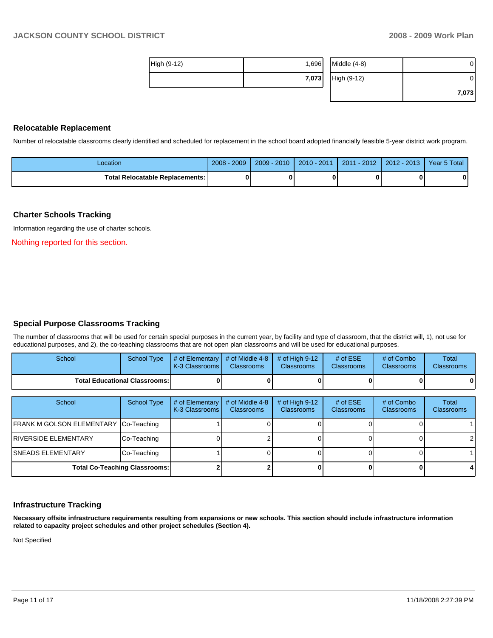**7,073** 

|             | 7,073 | High (9-12)    | 0 |
|-------------|-------|----------------|---|
| High (9-12) | 1,696 | $Middle (4-8)$ | 0 |

#### **Relocatable Replacement**

Number of relocatable classrooms clearly identified and scheduled for replacement in the school board adopted financially feasible 5-year district work program.

| _ocation                          | $2008 - 2009$ | $2009 - 2010$ | $2010 - 2011$ | 2011 - 2012 | ∟2012 - 2013 II | Year 5 Total |
|-----------------------------------|---------------|---------------|---------------|-------------|-----------------|--------------|
| Total Relocatable Replacements: I |               |               |               |             |                 |              |

#### **Charter Schools Tracking**

Information regarding the use of charter schools.

Nothing reported for this section.

### **Special Purpose Classrooms Tracking**

The number of classrooms that will be used for certain special purposes in the current year, by facility and type of classroom, that the district will, 1), not use for educational purposes, and 2), the co-teaching classrooms that are not open plan classrooms and will be used for educational purposes.

| School                                 | School Type | $\parallel$ # of Elementary $\parallel$ # of Middle 4-8 $\parallel$ # of High 9-12<br><b>K-3 Classrooms I</b> | <b>Classrooms</b> | <b>Classrooms</b> | # of $ESE$<br><b>Classrooms</b> | # of Combo<br><b>Classrooms</b> | Total<br><b>Classrooms</b> |
|----------------------------------------|-------------|---------------------------------------------------------------------------------------------------------------|-------------------|-------------------|---------------------------------|---------------------------------|----------------------------|
| <b>Total Educational Classrooms: I</b> |             |                                                                                                               |                   | 0                 |                                 | 0                               | 0                          |

| School                                | School Type | # of Elementary<br>  K-3 Classrooms | # of Middle 4-8<br><b>Classrooms</b> | # of High $9-12$<br><b>Classrooms</b> | # of $ESE$<br><b>Classrooms</b> | # of Combo<br><b>Classrooms</b> | <b>Total</b><br><b>Classrooms</b> |
|---------------------------------------|-------------|-------------------------------------|--------------------------------------|---------------------------------------|---------------------------------|---------------------------------|-----------------------------------|
| FRANK M GOLSON ELEMENTARY Co-Teaching |             |                                     |                                      |                                       |                                 |                                 |                                   |
| <b>IRIVERSIDE ELEMENTARY</b>          | Co-Teaching |                                     |                                      |                                       |                                 |                                 | $\overline{2}$                    |
| <b>ISNEADS ELEMENTARY</b>             | Co-Teaching |                                     |                                      |                                       |                                 |                                 |                                   |
| <b>Total Co-Teaching Classrooms:</b>  |             |                                     |                                      |                                       |                                 |                                 |                                   |

#### **Infrastructure Tracking**

**Necessary offsite infrastructure requirements resulting from expansions or new schools. This section should include infrastructure information related to capacity project schedules and other project schedules (Section 4).** 

Not Specified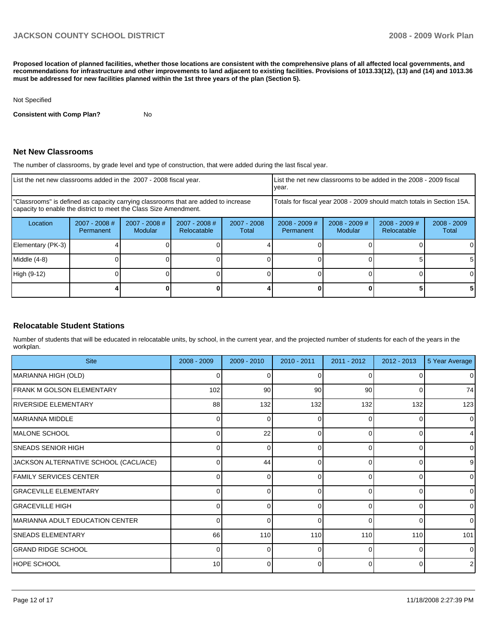**Proposed location of planned facilities, whether those locations are consistent with the comprehensive plans of all affected local governments, and recommendations for infrastructure and other improvements to land adjacent to existing facilities. Provisions of 1013.33(12), (13) and (14) and 1013.36 must be addressed for new facilities planned within the 1st three years of the plan (Section 5).** 

#### Not Specified

**Consistent with Comp Plan?** No

### **Net New Classrooms**

The number of classrooms, by grade level and type of construction, that were added during the last fiscal year.

|                   | List the net new classrooms added in the 2007 - 2008 fiscal year. |                                                                                                                                                         |                                |                        |                                                                        | List the net new classrooms to be added in the 2008 - 2009 fiscal<br>year. |                                |                        |  |
|-------------------|-------------------------------------------------------------------|---------------------------------------------------------------------------------------------------------------------------------------------------------|--------------------------------|------------------------|------------------------------------------------------------------------|----------------------------------------------------------------------------|--------------------------------|------------------------|--|
|                   |                                                                   | "Classrooms" is defined as capacity carrying classrooms that are added to increase<br>capacity to enable the district to meet the Class Size Amendment. |                                |                        | Totals for fiscal year 2008 - 2009 should match totals in Section 15A. |                                                                            |                                |                        |  |
| Location          | $2007 - 2008$ #<br>Permanent                                      | $2007 - 2008$ #<br>Modular                                                                                                                              | $2007 - 2008$ #<br>Relocatable | $2007 - 2008$<br>Total | $2008 - 2009$ #<br>Permanent                                           | $2008 - 2009$ #<br><b>Modular</b>                                          | $2008 - 2009$ #<br>Relocatable | $2008 - 2009$<br>Total |  |
| Elementary (PK-3) |                                                                   |                                                                                                                                                         |                                |                        |                                                                        |                                                                            |                                | 0                      |  |
| Middle (4-8)      |                                                                   |                                                                                                                                                         |                                |                        |                                                                        |                                                                            |                                | 5                      |  |
| High (9-12)       |                                                                   |                                                                                                                                                         |                                |                        |                                                                        |                                                                            |                                | 0                      |  |
|                   |                                                                   |                                                                                                                                                         |                                |                        |                                                                        |                                                                            |                                | 5                      |  |

### **Relocatable Student Stations**

Number of students that will be educated in relocatable units, by school, in the current year, and the projected number of students for each of the years in the workplan.

| <b>Site</b>                           | 2008 - 2009    | $2009 - 2010$ | 2010 - 2011 | 2011 - 2012 | $2012 - 2013$ | 5 Year Average |
|---------------------------------------|----------------|---------------|-------------|-------------|---------------|----------------|
| MARIANNA HIGH (OLD)                   | 0              | n             | $\Omega$    | ∩           |               | $\overline{0}$ |
| <b>FRANK M GOLSON ELEMENTARY</b>      | 102            | 90            | 90          | 90          | 0             | 74             |
| <b>RIVERSIDE ELEMENTARY</b>           | 88             | 132           | 132         | 132         | 132           | 123            |
| IMARIANNA MIDDLE                      | $\overline{0}$ | 0             | 0           | 0           | 0             | $\overline{0}$ |
| <b>IMALONE SCHOOL</b>                 | U              | 22            | $\Omega$    | U           | $\Omega$      | $\overline{4}$ |
| <b>SNEADS SENIOR HIGH</b>             | $\overline{0}$ | 0             | 0           | 0           | 0             | $\overline{0}$ |
| JACKSON ALTERNATIVE SCHOOL (CACL/ACE) |                | 44            | $\Omega$    | U           | O             | 9              |
| <b>FAMILY SERVICES CENTER</b>         | $\Omega$       | 0             | 0           | 0           | $\Omega$      | $\Omega$       |
| <b>GRACEVILLE ELEMENTARY</b>          |                | n             | $\Omega$    |             | O             | $\Omega$       |
| <b>GRACEVILLE HIGH</b>                | $\Omega$       | 0             | 0           | 0           | 0             | $\overline{0}$ |
| MARIANNA ADULT EDUCATION CENTER       | ∩              | O             | $\Omega$    | ∩           | $\Omega$      | $\Omega$       |
| <b>SNEADS ELEMENTARY</b>              | 66             | 110           | 110         | 110         | 110           | 101            |
| <b>GRAND RIDGE SCHOOL</b>             | $\Omega$       | O             | $\Omega$    | n           | $\Omega$      | $\Omega$       |
| HOPE SCHOOL                           | 10             | 0             | 0           | 0           | $\Omega$      | $\overline{2}$ |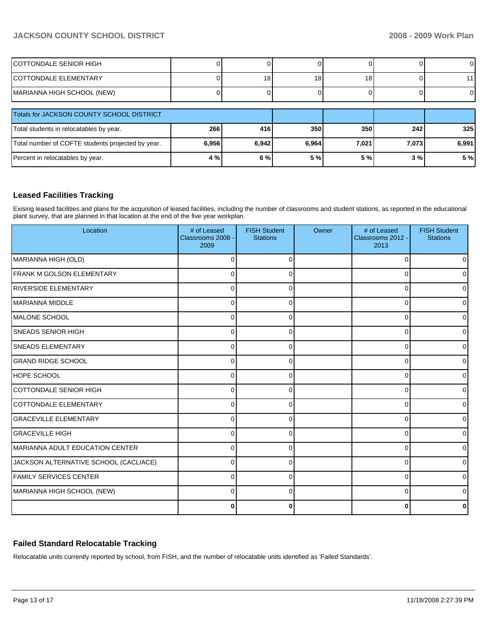| COTTONDALE SENIOR HIGH                            |       |       |                 |       |       | $\overline{0}$ |
|---------------------------------------------------|-------|-------|-----------------|-------|-------|----------------|
| ICOTTONDALE ELEMENTARY                            |       | 18    | 18 <sub>1</sub> | 18    |       | 11             |
| MARIANNA HIGH SCHOOL (NEW)                        |       |       |                 |       |       | $\overline{0}$ |
| Totals for JACKSON COUNTY SCHOOL DISTRICT         |       |       |                 |       |       |                |
| Total students in relocatables by year.           | 266   | 416   | 350             | 350   | 242   | 325            |
| Total number of COFTE students projected by year. | 6,956 | 6,942 | 6,964           | 7.021 | 7,073 | 6,991          |
| Percent in relocatables by year.                  | 4%    | 6%    | 5 %             | 5 %   | 3%    | 5 %            |

## **Leased Facilities Tracking**

Exising leased facilities and plans for the acquisition of leased facilities, including the number of classrooms and student stations, as reported in the educational plant survey, that are planned in that location at the end of the five year workplan.

| Location                              | # of Leased<br>Classrooms 2008 -<br>2009 | <b>FISH Student</b><br><b>Stations</b> | Owner | # of Leased<br>Classrooms 2012 -<br>2013 | <b>FISH Student</b><br><b>Stations</b> |
|---------------------------------------|------------------------------------------|----------------------------------------|-------|------------------------------------------|----------------------------------------|
| MARIANNA HIGH (OLD)                   | O                                        |                                        |       | $\Omega$                                 |                                        |
| FRANK M GOLSON ELEMENTARY             | $\Omega$                                 | 0                                      |       | $\Omega$                                 | U                                      |
| <b>RIVERSIDE ELEMENTARY</b>           | 0                                        | 0                                      |       | $\Omega$                                 | <sup>0</sup>                           |
| <b>MARIANNA MIDDLE</b>                | 0                                        | U                                      |       | 0                                        | U                                      |
| IMALONE SCHOOL                        | 0                                        | 0                                      |       | 0                                        | n                                      |
| <b>SNEADS SENIOR HIGH</b>             | $\Omega$                                 | U                                      |       | 0                                        | o                                      |
| <b>SNEADS ELEMENTARY</b>              | $\Omega$                                 |                                        |       | $\Omega$                                 | U                                      |
| <b>GRAND RIDGE SCHOOL</b>             | ∩                                        |                                        |       | $\Omega$                                 |                                        |
| <b>HOPE SCHOOL</b>                    | $\Omega$                                 | ∩                                      |       | $\Omega$                                 | o                                      |
| COTTONDALE SENIOR HIGH                | $\Omega$                                 | 0                                      |       | $\Omega$                                 |                                        |
| COTTONDALE ELEMENTARY                 | $\Omega$                                 | 0                                      |       | $\Omega$                                 |                                        |
| <b>GRACEVILLE ELEMENTARY</b>          | $\Omega$                                 | ∩                                      |       | 0                                        |                                        |
| <b>GRACEVILLE HIGH</b>                | 0                                        | 0                                      |       | 0                                        | 0                                      |
| MARIANNA ADULT EDUCATION CENTER       | 0                                        | ∩                                      |       | 0                                        | <sup>0</sup>                           |
| JACKSON ALTERNATIVE SCHOOL (CACL/ACE) | $\Omega$                                 |                                        |       | 0                                        | U                                      |
| <b>FAMILY SERVICES CENTER</b>         | $\Omega$                                 |                                        |       | $\Omega$                                 |                                        |
| MARIANNA HIGH SCHOOL (NEW)            | $\Omega$                                 | $\Omega$                               |       | 0                                        |                                        |
|                                       | 0                                        | ŋ                                      |       | $\bf{0}$                                 |                                        |

## **Failed Standard Relocatable Tracking**

Relocatable units currently reported by school, from FISH, and the number of relocatable units identified as 'Failed Standards'.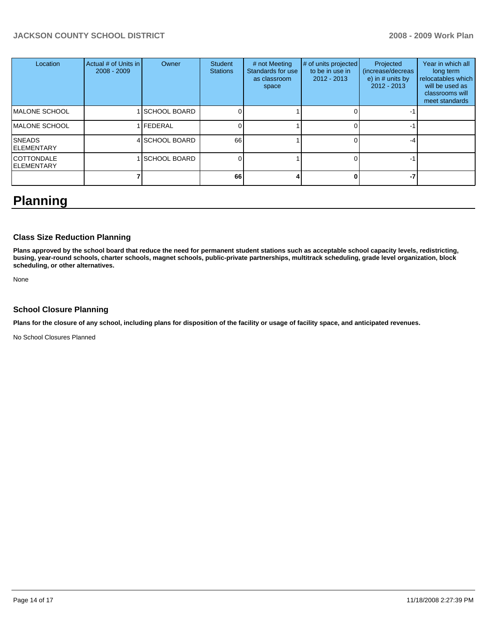| Location                               | Actual # of Units in<br>$2008 - 2009$ | Owner                | Student<br><b>Stations</b> | # not Meeting<br>Standards for use<br>as classroom<br>space | # of units projected<br>to be in use in<br>$2012 - 2013$ | Projected<br>(increase/decreas<br>e) in $#$ units by<br>$2012 - 2013$ | Year in which all<br>long term<br>relocatables which<br>will be used as<br>classrooms will<br>meet standards |
|----------------------------------------|---------------------------------------|----------------------|----------------------------|-------------------------------------------------------------|----------------------------------------------------------|-----------------------------------------------------------------------|--------------------------------------------------------------------------------------------------------------|
| <b>MALONE SCHOOL</b>                   |                                       | <b>ISCHOOL BOARD</b> |                            |                                                             |                                                          |                                                                       |                                                                                                              |
| <b>MALONE SCHOOL</b>                   |                                       | <b>IFEDERAL</b>      |                            |                                                             |                                                          |                                                                       |                                                                                                              |
| <b>SNEADS</b><br><b>ELEMENTARY</b>     |                                       | 4 SCHOOL BOARD       | 66                         |                                                             |                                                          |                                                                       |                                                                                                              |
| <b>COTTONDALE</b><br><b>ELEMENTARY</b> |                                       | <b>SCHOOL BOARD</b>  |                            |                                                             |                                                          |                                                                       |                                                                                                              |
|                                        |                                       |                      | 66                         |                                                             |                                                          | -7                                                                    |                                                                                                              |

# **Planning**

## **Class Size Reduction Planning**

**Plans approved by the school board that reduce the need for permanent student stations such as acceptable school capacity levels, redistricting, busing, year-round schools, charter schools, magnet schools, public-private partnerships, multitrack scheduling, grade level organization, block scheduling, or other alternatives.** 

None

## **School Closure Planning**

**Plans for the closure of any school, including plans for disposition of the facility or usage of facility space, and anticipated revenues.** 

No School Closures Planned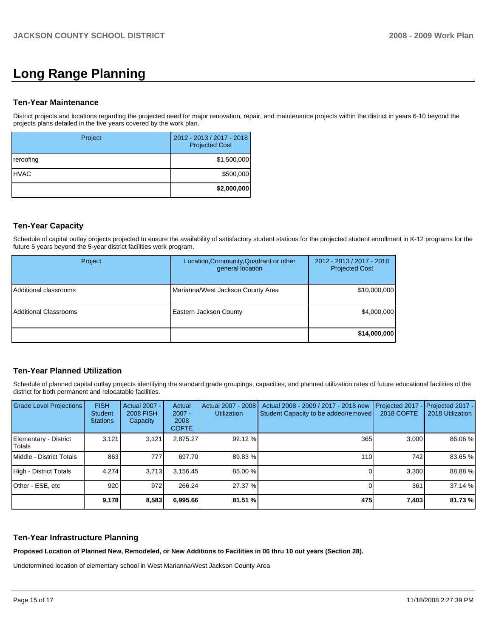# **Long Range Planning**

#### **Ten-Year Maintenance**

District projects and locations regarding the projected need for major renovation, repair, and maintenance projects within the district in years 6-10 beyond the projects plans detailed in the five years covered by the work plan.

| Project      | 2012 - 2013 / 2017 - 2018<br><b>Projected Cost</b> |
|--------------|----------------------------------------------------|
| reroofing    | \$1,500,000                                        |
| <b>IHVAC</b> | \$500,000                                          |
|              | \$2,000,000                                        |

## **Ten-Year Capacity**

Schedule of capital outlay projects projected to ensure the availability of satisfactory student stations for the projected student enrollment in K-12 programs for the future 5 years beyond the 5-year district facilities work program.

| Project                      | Location, Community, Quadrant or other<br>general location | 2012 - 2013 / 2017 - 2018<br><b>Projected Cost</b> |
|------------------------------|------------------------------------------------------------|----------------------------------------------------|
| Additional classrooms        | Marianna/West Jackson County Area                          | \$10,000,000                                       |
| <b>Additional Classrooms</b> | <b>Eastern Jackson County</b>                              | \$4,000,000                                        |
|                              |                                                            | \$14,000,000                                       |

## **Ten-Year Planned Utilization**

Schedule of planned capital outlay projects identifying the standard grade groupings, capacities, and planned utilization rates of future educational facilities of the district for both permanent and relocatable facilities.

| <b>Grade Level Projections</b>  | <b>FISH</b><br><b>Student</b><br><b>Stations</b> | <b>Actual 2007 -</b><br><b>2008 FISH</b><br>Capacity | Actual<br>$2007 -$<br>2008<br><b>COFTE</b> | Actual 2007 - 2008<br><b>Utilization</b> | Actual 2008 - 2009 / 2017 - 2018 new<br>Student Capacity to be added/removed | Projected 2017<br><b>2018 COFTE</b> | Projected 2017 -<br>2018 Utilization |
|---------------------------------|--------------------------------------------------|------------------------------------------------------|--------------------------------------------|------------------------------------------|------------------------------------------------------------------------------|-------------------------------------|--------------------------------------|
| Elementary - District<br>Totals | 3.121                                            | 3,121                                                | 2.875.27                                   | 92.12 %                                  | 365                                                                          | 3.000                               | 86.06 %                              |
| Middle - District Totals        | 863                                              | 777                                                  | 697.70                                     | 89.83 %                                  | 110                                                                          | 742                                 | 83.65 %                              |
| High - District Totals          | 4.274                                            | 3.713                                                | 3.156.45                                   | 85.00 %                                  |                                                                              | 3.300                               | 88.88 %                              |
| Other - ESE, etc                | 920                                              | 972                                                  | 266.24                                     | 27.37 %                                  |                                                                              | 361                                 | 37.14 %                              |
|                                 | 9,178                                            | 8,583                                                | 6,995.66                                   | 81.51 %                                  | 475                                                                          | 7,403                               | 81.73 %                              |

### **Ten-Year Infrastructure Planning**

**Proposed Location of Planned New, Remodeled, or New Additions to Facilities in 06 thru 10 out years (Section 28).** 

Undetermined location of elementary school in West Marianna/West Jackson County Area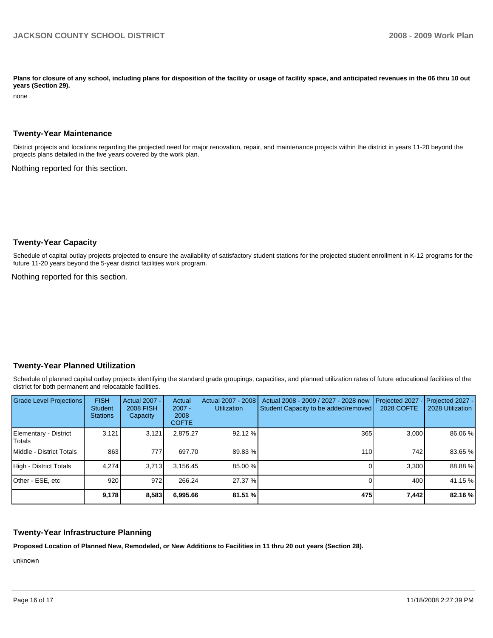Plans for closure of any school, including plans for disposition of the facility or usage of facility space, and anticipated revenues in the 06 thru 10 out **years (Section 29).** 

none

#### **Twenty-Year Maintenance**

District projects and locations regarding the projected need for major renovation, repair, and maintenance projects within the district in years 11-20 beyond the projects plans detailed in the five years covered by the work plan.

Nothing reported for this section.

### **Twenty-Year Capacity**

Schedule of capital outlay projects projected to ensure the availability of satisfactory student stations for the projected student enrollment in K-12 programs for the future 11-20 years beyond the 5-year district facilities work program.

Nothing reported for this section.

### **Twenty-Year Planned Utilization**

Schedule of planned capital outlay projects identifying the standard grade groupings, capacities, and planned utilization rates of future educational facilities of the district for both permanent and relocatable facilities.

| <b>Grade Level Projections</b>    | <b>FISH</b><br>Student<br><b>Stations</b> | <b>Actual 2007 -</b><br><b>2008 FISH</b><br>Capacity | Actual<br>$2007 -$<br>2008<br><b>COFTE</b> | Actual 2007 - 2008<br><b>Utilization</b> | Actual 2008 - 2009 / 2027 - 2028 new<br>Student Capacity to be added/removed | Projected 2027<br>2028 COFTE | Projected 2027 -<br>2028 Utilization |
|-----------------------------------|-------------------------------------------|------------------------------------------------------|--------------------------------------------|------------------------------------------|------------------------------------------------------------------------------|------------------------------|--------------------------------------|
| Elementary - District<br>l Totals | 3,121                                     | 3,121                                                | 2,875.27                                   | 92.12 %                                  | 365                                                                          | 3,000                        | 86.06 %                              |
| Middle - District Totals          | 863                                       | 777                                                  | 697.70                                     | 89.83 %                                  | 110 <sup>I</sup>                                                             | 742                          | 83.65 %                              |
| High - District Totals            | 4.274                                     | 3.713                                                | 3.156.45                                   | 85.00 %                                  |                                                                              | 3.300                        | 88.88%                               |
| Other - ESE, etc                  | 920                                       | 972                                                  | 266.24                                     | 27.37 %                                  |                                                                              | 400                          | 41.15 %                              |
|                                   | 9,178                                     | 8,583                                                | 6,995.66                                   | 81.51 %                                  | 475                                                                          | 7,442                        | 82.16 %                              |

### **Twenty-Year Infrastructure Planning**

**Proposed Location of Planned New, Remodeled, or New Additions to Facilities in 11 thru 20 out years (Section 28).** 

unknown